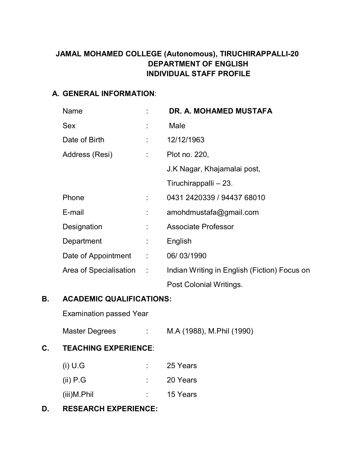# **JAMAL MOHAMED COLLEGE (Autonomous), TIRUCHIRAPPALLI-20 DEPARTMENT OF ENGLISH INDIVIDUAL STAFF PROFILE**

### **A. GENERAL INFORMATION**:

| <b>Name</b>              |                            | <b>DR. A. MOHAMED MUSTAFA</b>                |
|--------------------------|----------------------------|----------------------------------------------|
| <b>Sex</b>               |                            | Male                                         |
| Date of Birth            |                            | 12/12/1963                                   |
| Address (Resi)           | $\mathcal{L}^{\text{max}}$ | Plot no. 220,                                |
|                          |                            | J.K Nagar, Khajamalai post,                  |
|                          |                            | Tiruchirappalli - 23.                        |
| Phone                    |                            | 0431 2420339 / 94437 68010                   |
| E-mail                   |                            | amohdmustafa@gmail.com                       |
| Designation              | ÷.                         | Associate Professor                          |
| Department               | ÷.                         | English                                      |
| Date of Appointment :    |                            | 06/03/1990                                   |
| Area of Specialisation : |                            | Indian Writing in English (Fiction) Focus on |
|                          |                            | Post Colonial Writings.                      |

# **B. ACADEMIC QUALIFICATIONS:**

Examination passed Year

Master Degrees : M.A (1988), M.Phil (1990)

# **C. TEACHING EXPERIENCE**:

| $(i)$ U.G   | ٠ | 25 Years |
|-------------|---|----------|
| $(ii)$ P.G  | ٠ | 20 Years |
| (iii)M.Phil | ٠ | 15 Years |

# **D. RESEARCH EXPERIENCE:**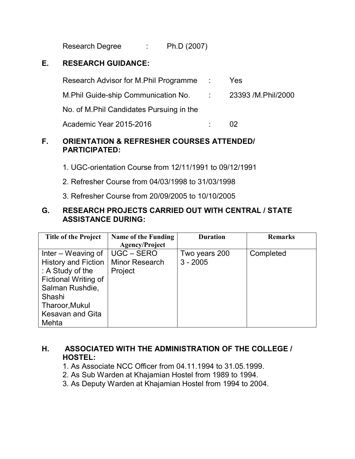Research Degree : Ph.D (2007)

## **E. RESEARCH GUIDANCE:**

| Research Advisor for M.Phil Programme                    | <b>Yes</b>     |
|----------------------------------------------------------|----------------|
| M. Phil Guide-ship Communication No. 23393 /M. Phil/2000 |                |
| No. of M.Phil Candidates Pursuing in the                 |                |
| Academic Year 2015-2016                                  | O <sub>2</sub> |

#### **F. ORIENTATION & REFRESHER COURSES ATTENDED/ PARTICIPATED:**

- 1. UGC-orientation Course from 12/11/1991 to 09/12/1991
- 2. Refresher Course from 04/03/1998 to 31/03/1998
- 3. Refresher Course from 20/09/2005 to 10/10/2005

### **G. RESEARCH PROJECTS CARRIED OUT WITH CENTRAL / STATE ASSISTANCE DURING:**

| <b>Title of the Project</b> | <b>Name of the Funding</b> | <b>Duration</b> | <b>Remarks</b> |
|-----------------------------|----------------------------|-----------------|----------------|
|                             | <b>Agency/Project</b>      |                 |                |
| Inter – Weaving of          | UGC – SERO                 | Two years 200   | Completed      |
| <b>History and Fiction</b>  | <b>Minor Research</b>      | $3 - 2005$      |                |
| : A Study of the            | Project                    |                 |                |
| Fictional Writing of        |                            |                 |                |
| Salman Rushdie,             |                            |                 |                |
| Shashi                      |                            |                 |                |
| Tharoor, Mukul              |                            |                 |                |
| <b>Kesavan and Gita</b>     |                            |                 |                |
| Mehta                       |                            |                 |                |

### **H. ASSOCIATED WITH THE ADMINISTRATION OF THE COLLEGE / HOSTEL:**

- 1. As Associate NCC Officer from 04.11.1994 to 31.05.1999.
- 2. As Sub Warden at Khajamian Hostel from 1989 to 1994.
- 3. As Deputy Warden at Khajamian Hostel from 1994 to 2004.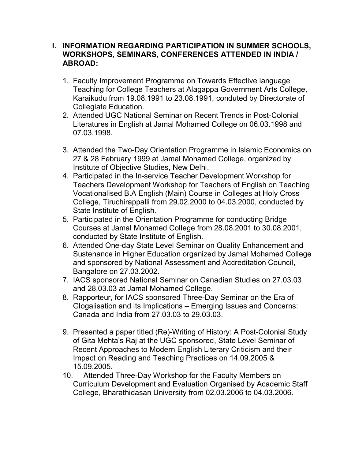### **I. INFORMATION REGARDING PARTICIPATION IN SUMMER SCHOOLS, WORKSHOPS, SEMINARS, CONFERENCES ATTENDED IN INDIA / ABROAD:**

- 1. Faculty Improvement Programme on Towards Effective language Teaching for College Teachers at Alagappa Government Arts College, Karaikudu from 19.08.1991 to 23.08.1991, conduted by Directorate of Collegiate Education.
- 2. Attended UGC National Seminar on Recent Trends in Post-Colonial Literatures in English at Jamal Mohamed College on 06.03.1998 and 07.03.1998.
- 3. Attended the Two-Day Orientation Programme in Islamic Economics on 27 & 28 February 1999 at Jamal Mohamed College, organized by Institute of Objective Studies, New Delhi.
- 4. Participated in the In-service Teacher Development Workshop for Teachers Development Workshop for Teachers of English on Teaching Vocationalised B.A English (Main) Course in Colleges at Holy Cross College, Tiruchirappalli from 29.02.2000 to 04.03.2000, conducted by State Institute of English.
- 5. Participated in the Orientation Programme for conducting Bridge Courses at Jamal Mohamed College from 28.08.2001 to 30.08.2001, conducted by State Institute of English.
- 6. Attended One-day State Level Seminar on Quality Enhancement and Sustenance in Higher Education organized by Jamal Mohamed College and sponsored by National Assessment and Accreditation Council, Bangalore on 27.03.2002.
- 7. IACS sponsored National Seminar on Canadian Studies on 27.03.03 and 28.03.03 at Jamal Mohamed College.
- 8. Rapporteur, for IACS sponsored Three-Day Seminar on the Era of Glogalisation and its Implications – Emerging Issues and Concerns: Canada and India from 27.03.03 to 29.03.03.
- 9. Presented a paper titled (Re)-Writing of History: A Post-Colonial Study of Gita Mehta's Raj at the UGC sponsored, State Level Seminar of Recent Approaches to Modern English Literary Criticism and their Impact on Reading and Teaching Practices on 14.09.2005 & 15.09.2005.
- 10. Attended Three-Day Workshop for the Faculty Members on Curriculum Development and Evaluation Organised by Academic Staff College, Bharathidasan University from 02.03.2006 to 04.03.2006.